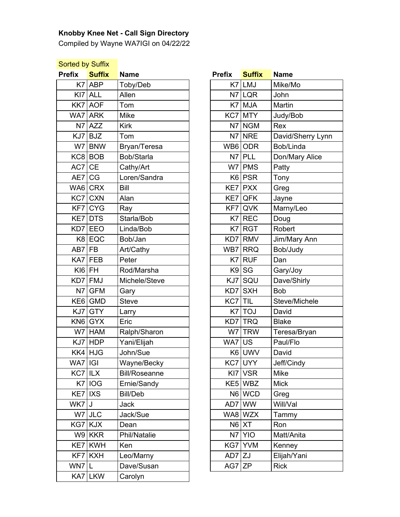## **Knobby Knee Net - Call Sign Directory**

Compiled by Wayne WA7IGI on 04/22/22

## **Sorted by Suffix**

| <b>Prefix</b> | <b>Suffix</b> | <b>Name</b>          | <b>Prefix</b> | <b>Suffix</b> | <b>Name</b>     |
|---------------|---------------|----------------------|---------------|---------------|-----------------|
| K7            | ABP           | Toby/Deb             | K7            | <b>LMJ</b>    | Mike/Mo         |
|               | $K17$ ALL     | Allen                |               | N7 LQR        | John            |
|               | KK7 AOF       | Tom                  |               | $K7$ MJA      | Martin          |
|               | WA7 ARK       | Mike                 |               | KC7 MTY       | Judy/Bob        |
|               | $N7$ $AZZ$    | <b>Kirk</b>          |               | $N7$ NGM      | Rex             |
|               | $KJ7$ BJZ     | Tom                  |               | N7 NRE        | David/Sherry Ly |
|               | W7 BNW        | Bryan/Teresa         |               | WB6 ODR       | Bob/Linda       |
|               | KCB BOB       | Bob/Starla           | N7            | PLL           | Don/Mary Alice  |
| $AC7$ CE      |               | Cathy/Art            |               | $W7$ PMS      | Patty           |
| AE7 CG        |               | Loren/Sandra         |               | K6 PSR        | Tony            |
|               | WA6 CRX       | Bill                 |               | KE7 PXX       | Greg            |
|               | $KC7$ $CXN$   | Alan                 |               | KE7 QFK       | Jayne           |
|               | KF7 CYG       | Ray                  |               | KF7 QVK       | Marny/Leo       |
|               | KE7 DTS       | Starla/Bob           |               | K7 REC        | Doug            |
|               | KD7 EEO       | Linda/Bob            |               | $K7$ RGT      | Robert          |
|               | $K8$ EQC      | Bob/Jan              |               | KD7 RMV       | Jim/Mary Ann    |
| AB7           | <b>FB</b>     | Art/Cathy            | WB7           | <b>RRQ</b>    | Bob/Judy        |
|               | $KAY$ FEB     | Peter                | K7            | <b>RUF</b>    | Dan             |
| K 6 FH        |               | Rod/Marsha           |               | K9 SG         | Gary/Joy        |
|               | KD7 FMJ       | Michele/Steve        |               | $KJ7$ SQU     | Dave/Shirly     |
| N7            | <b>GFM</b>    | Gary                 |               | KD7 SXH       | <b>Bob</b>      |
|               | $KE6$ GMD     | <b>Steve</b>         | KC7 TIL       |               | Steve/Michele   |
| KJ7           | <b>GTY</b>    | Larry                |               | $K7$ TOJ      | David           |
|               | $KN6$ $GYX$   | Eric                 |               | KD7 TRQ       | <b>Blake</b>    |
|               | W7 HAM        | Ralph/Sharon         |               | W7 TRW        | Teresa/Bryan    |
|               | $KJ7$ HDP     | Yani/Elijah          | WA7 US        |               | Paul/Flo        |
|               | KK4 HJG       | John/Sue             |               | K6 UWV        | David           |
| WA7 IGI       |               | Wayne/Becky          |               | $KC7$ UYY     | Jeff/Cindy      |
| KC7 ILX       |               | <b>Bill/Roseanne</b> |               | $K17$ VSR     | Mike            |
|               | K7 IOG        | Ernie/Sandy          |               | KE5 WBZ       | <b>Mick</b>     |
| KE7   IXS     |               | <b>Bill/Deb</b>      |               | N6 WCD        | Greg            |
| $WK7$ U       |               | <b>Jack</b>          |               | AD7 WW        | Will/Val        |
|               | $W7$ JLC      | Jack/Sue             |               | WA8 WZX       | Tammy           |
|               | KG7 KJX       | Dean                 |               | $N6$ $XT$     | Ron             |
|               | $W9$ KKR      | Phil/Natalie         |               | N7 Y O        | Matt/Anita      |
|               | KE7 KWH       | Ken                  |               | KG7 YVM       | Kenney          |
|               | KF7 KXH       | Leo/Marny            | $AD7$ ZJ      |               | Elijah/Yani     |
| WN7 L         |               | Dave/Susan           | $AG7$ $ZP$    |               | <b>Rick</b>     |
|               | KA7 LKW       | Carolyn              |               |               |                 |

| ix        | <b>Suffix</b>                                                                             | <b>Name</b>          | <b>Prefix</b> | <b>Suffix</b> | <b>Name</b>       |
|-----------|-------------------------------------------------------------------------------------------|----------------------|---------------|---------------|-------------------|
|           | $K7$ $ABP$                                                                                | Toby/Deb             |               | $K7$ LMJ      | Mike/Mo           |
| KI7       | <b>ALL</b>                                                                                | Allen                |               | N7 LQR        | John              |
|           | KK7   AOF                                                                                 | Tom                  |               | $K7$ MJA      | Martin            |
|           | VA7 ARK                                                                                   | <b>Mike</b>          |               | KC7 MTY       | Judy/Bob          |
|           | $N7$ $AZZ$                                                                                | <b>Kirk</b>          |               | $N7$ NGM      | Rex               |
|           | KJ7 BJZ                                                                                   | Tom                  | N7            | <b>NRE</b>    | David/Sherry Lynn |
|           | W7 BNW                                                                                    | Bryan/Teresa         |               | WB6 ODR       | Bob/Linda         |
|           | KC8 BOB                                                                                   | Bob/Starla           | N7            | <b>PLL</b>    | Don/Mary Alice    |
| AC7 CE    |                                                                                           | Cathy/Art            |               | W7 PMS        | Patty             |
| AE7│CG    |                                                                                           | Loren/Sandra         |               | K6 PSR        | Tony              |
|           | VA6 CRX                                                                                   | Bill                 |               | $KE7$ PXX     | Greg              |
|           | KC7 CXN                                                                                   | Alan                 | KE7           | QFK           | Jayne             |
|           | KF7 CYG                                                                                   | Ray                  | KF7           | QVK           | Marny/Leo         |
|           | KE7 DTS                                                                                   | Starla/Bob           |               | K7 REC        | Doug              |
|           | <d7 eeo<="" td=""><td>Linda/Bob</td><td>K7</td><td><b>RGT</b></td><td>Robert</td></d7>    | Linda/Bob            | K7            | <b>RGT</b>    | Robert            |
|           | $K8$ EQC                                                                                  | Bob/Jan              | KD7           | <b>RMV</b>    | Jim/Mary Ann      |
| AB7 FB    |                                                                                           | Art/Cathy            |               | WB7 RRQ       | Bob/Judy          |
|           | KA7 FEB                                                                                   | Peter                | K7            | <b>RUF</b>    | Dan               |
| K 6 FH    |                                                                                           | Rod/Marsha           |               | $K9$ SG       | Gary/Joy          |
|           | <d7 fmj<="" td=""><td>Michele/Steve</td><td>KJ7</td><td>SQU</td><td>Dave/Shirly</td></d7> | Michele/Steve        | KJ7           | SQU           | Dave/Shirly       |
| N7        | <b>GFM</b>                                                                                | Gary                 | KD7           | <b>SXH</b>    | <b>Bob</b>        |
|           | KE6   GMD                                                                                 | <b>Steve</b>         | KC7 TIL       |               | Steve/Michele     |
|           | KJ7 GTY                                                                                   | Larry                |               | $K7$ TOJ      | David             |
|           | KN6 GYX                                                                                   | Eric                 |               | KD7 TRQ       | <b>Blake</b>      |
|           | $W7$ HAM                                                                                  | Ralph/Sharon         |               | W7 TRW        | Teresa/Bryan      |
|           | KJ7   HDP                                                                                 | Yani/Elijah          | WA7           | <b>US</b>     | Paul/Flo          |
|           | KK4   HJG                                                                                 | John/Sue             |               | K6 UWV        | David             |
| VA7∣IGI   |                                                                                           | Wayne/Becky          |               | KC7 UYY       | Jeff/Cindy        |
| KC7   ILX |                                                                                           | <b>Bill/Roseanne</b> |               | $K17$ VSR     | Mike              |
|           | K7 IOG                                                                                    | Ernie/Sandy          |               | KE5 WBZ       | <b>Mick</b>       |
|           | KE7   IXS                                                                                 | <b>Bill/Deb</b>      |               | N6 WCD        | Greg              |
| VK7   J   |                                                                                           | Jack                 | AD7 WW        |               | Will/Val          |
|           | $W7$ JLC                                                                                  | Jack/Sue             |               | WA8 WZX       | Tammy             |
|           | KG7 KJX                                                                                   | Dean                 |               | $N6$ $XT$     | Ron               |
|           | $W9$ KKR                                                                                  | Phil/Natalie         |               | N7 Y O        | Matt/Anita        |
|           | KE7 KWH                                                                                   | Ken                  |               | KG7 YVM       | Kenney            |
|           | KF7 KXH                                                                                   | Leo/Marny            | $AD7$  ZJ     |               | Elijah/Yani       |
| VN7   L   |                                                                                           | Dave/Susan           | $AG7$ $ZP$    |               | <b>Rick</b>       |
|           |                                                                                           |                      |               |               |                   |